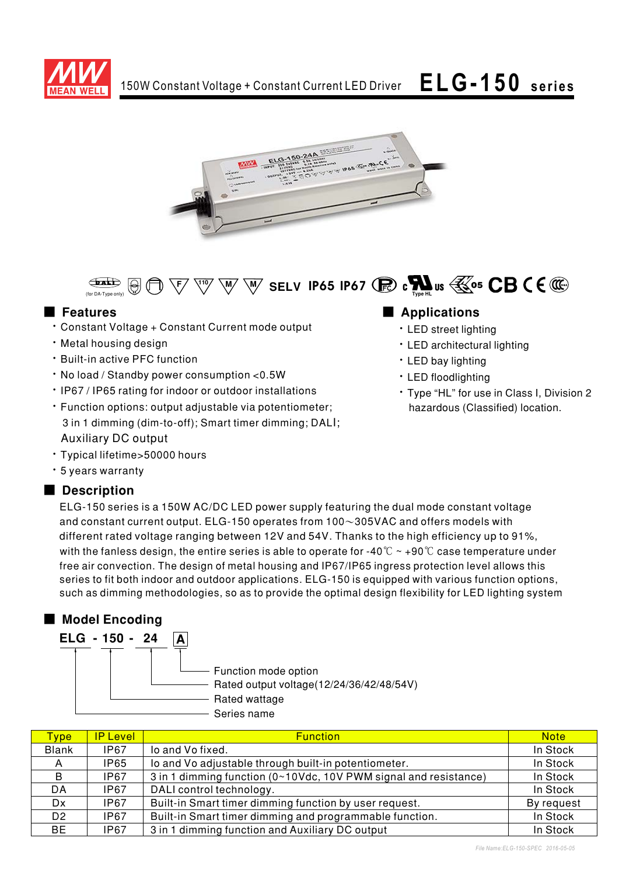





# ■ **Features**

- \* Constant Voltage + Constant Current mode output
- · Metal housing design
- Built-in active PFC function
- No load / Standby power consumption < 0.5W
- IP67 / IP65 rating for indoor or outdoor installations
- · Function options: output adjustable via potentiometer; 3 in 1 dimming (dim-to-off); Smart timer dimming; DALI; Auxiliary DC output
- · Typical lifetime>50000 hours
- \* 5 years warranty

# ■ Description

## 

- · LED street lighting
- · LED architectural lighting
- LED bay lighting
- · LED floodlighting
- \* Type "HL" for use in Class I, Division 2 hazardous (Classified) location.

ELG-150 series is a 150W AC/DC LED power supply featuring the dual mode constant voltage and constant current output. ELG-150 operates from 100 $\sim$ 305VAC and offers models with different rated voltage ranging between 12V and 54V. Thanks to the high efficiency up to 91%, with the fanless design, the entire series is able to operate for -40  $^\circ\!{\rm C}\simeq$  +90  $^\circ\!{\rm C}$  case temperature under free air convection. The design of metal housing and IP67/IP65 ingress protection level allows this series to fit both indoor and outdoor applications. ELG-150 is equipped with various function options, such as dimming methodologies, so as to provide the optimal design flexibility for LED lighting system

# ■ Model Encoding  $F = 16 - 150 - 21$   $\boxed{A}$

| LLU<br>- 190 - 44 | . . |                                                                  |
|-------------------|-----|------------------------------------------------------------------|
|                   |     | Function mode option<br>Rated output voltage(12/24/36/42/48/54V) |
|                   |     | Rated wattage                                                    |
|                   |     | Series name                                                      |

| <b>Type</b>    | <b>IP Level</b> | <b>Function</b>                                                  | <b>Note</b> |
|----------------|-----------------|------------------------------------------------------------------|-------------|
| <b>Blank</b>   | <b>IP67</b>     | lo and Vo fixed.                                                 | In Stock    |
| A              | IP65            | Io and Vo adjustable through built-in potentiometer.             | In Stock    |
| B.             | IP67            | 3 in 1 dimming function (0~10Vdc, 10V PWM signal and resistance) | In Stock    |
| DA             | IP67            | DALI control technology.                                         | In Stock    |
| Dx.            | IP67            | Built-in Smart timer dimming function by user request.           | By request  |
| D <sub>2</sub> | IP67            | Built-in Smart timer dimming and programmable function.          | In Stock    |
| BE.            | IP67            | 3 in 1 dimming function and Auxiliary DC output                  | In Stock    |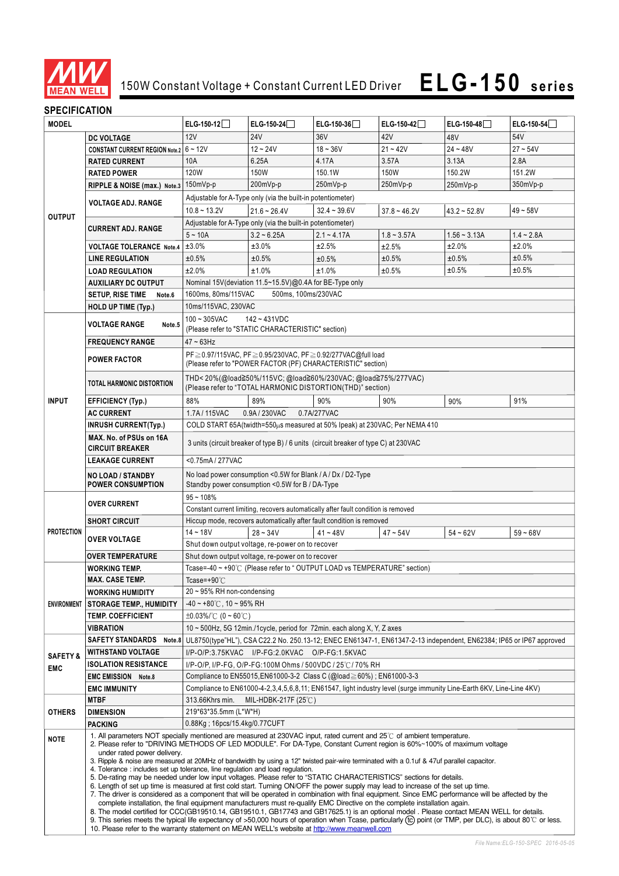

# **ELG-150 series** 150W Constant Voltage + Constant Current LED Driver

## **SPECIFICATION**

| <b>MODEL</b>                                                                                                                         |                                                                                                                                                                                                                                                                                                                                                                                                                                                                                                                                                                                                                                                                                                                                                                                                                                                                                                                                                                                                                                                                                                                                                                                                              | $ELG-150-12$                                                                                                                                                              | ELG-150-24 $\Box$                                              | $ELG-150-36$                                                                                                             | $ELG-150-42$   | ELG-150-48     | ELG-150-54 $\Box$ |  |
|--------------------------------------------------------------------------------------------------------------------------------------|--------------------------------------------------------------------------------------------------------------------------------------------------------------------------------------------------------------------------------------------------------------------------------------------------------------------------------------------------------------------------------------------------------------------------------------------------------------------------------------------------------------------------------------------------------------------------------------------------------------------------------------------------------------------------------------------------------------------------------------------------------------------------------------------------------------------------------------------------------------------------------------------------------------------------------------------------------------------------------------------------------------------------------------------------------------------------------------------------------------------------------------------------------------------------------------------------------------|---------------------------------------------------------------------------------------------------------------------------------------------------------------------------|----------------------------------------------------------------|--------------------------------------------------------------------------------------------------------------------------|----------------|----------------|-------------------|--|
|                                                                                                                                      | <b>DC VOLTAGE</b>                                                                                                                                                                                                                                                                                                                                                                                                                                                                                                                                                                                                                                                                                                                                                                                                                                                                                                                                                                                                                                                                                                                                                                                            | 12V                                                                                                                                                                       | <b>24V</b>                                                     | 36V                                                                                                                      | 42V            | 48V            | 54V               |  |
|                                                                                                                                      | <b>CONSTANT CURRENT REGION Note.2</b>                                                                                                                                                                                                                                                                                                                                                                                                                                                                                                                                                                                                                                                                                                                                                                                                                                                                                                                                                                                                                                                                                                                                                                        | $6 - 12V$                                                                                                                                                                 | $12 - 24V$                                                     | $18 - 36V$                                                                                                               | $21 - 42V$     | $24 - 48V$     | $27 - 54V$        |  |
|                                                                                                                                      | <b>RATED CURRENT</b>                                                                                                                                                                                                                                                                                                                                                                                                                                                                                                                                                                                                                                                                                                                                                                                                                                                                                                                                                                                                                                                                                                                                                                                         | 10A                                                                                                                                                                       | 6.25A                                                          | 4.17A                                                                                                                    | 3.57A          | 3.13A          | 2.8A              |  |
|                                                                                                                                      | <b>RATED POWER</b>                                                                                                                                                                                                                                                                                                                                                                                                                                                                                                                                                                                                                                                                                                                                                                                                                                                                                                                                                                                                                                                                                                                                                                                           | 120W                                                                                                                                                                      | 150W                                                           | 150.1W                                                                                                                   | 150W           | 150.2W         | 151.2W            |  |
|                                                                                                                                      | RIPPLE & NOISE (max.) Note.3                                                                                                                                                                                                                                                                                                                                                                                                                                                                                                                                                                                                                                                                                                                                                                                                                                                                                                                                                                                                                                                                                                                                                                                 | 150mVp-p                                                                                                                                                                  | 200mVp-p                                                       | 250mVp-p                                                                                                                 | 250mVp-p       | 250mVp-p       | 350mVp-p          |  |
|                                                                                                                                      |                                                                                                                                                                                                                                                                                                                                                                                                                                                                                                                                                                                                                                                                                                                                                                                                                                                                                                                                                                                                                                                                                                                                                                                                              |                                                                                                                                                                           | Adjustable for A-Type only (via the built-in potentiometer)    |                                                                                                                          |                |                |                   |  |
|                                                                                                                                      | <b>VOLTAGE ADJ. RANGE</b>                                                                                                                                                                                                                                                                                                                                                                                                                                                                                                                                                                                                                                                                                                                                                                                                                                                                                                                                                                                                                                                                                                                                                                                    | $10.8 - 13.2V$                                                                                                                                                            | $21.6 - 26.4V$                                                 | $32.4 - 39.6V$                                                                                                           | $37.8 - 46.2V$ | $43.2 - 52.8V$ | $49 - 58V$        |  |
| <b>OUTPUT</b>                                                                                                                        |                                                                                                                                                                                                                                                                                                                                                                                                                                                                                                                                                                                                                                                                                                                                                                                                                                                                                                                                                                                                                                                                                                                                                                                                              | Adjustable for A-Type only (via the built-in potentiometer)                                                                                                               |                                                                |                                                                                                                          |                |                |                   |  |
|                                                                                                                                      | <b>CURRENT ADJ. RANGE</b>                                                                                                                                                                                                                                                                                                                                                                                                                                                                                                                                                                                                                                                                                                                                                                                                                                                                                                                                                                                                                                                                                                                                                                                    | $5 - 10A$                                                                                                                                                                 | $3.2 - 6.25A$                                                  | $2.1 - 4.17A$                                                                                                            | $1.8 - 3.57A$  | $1.56 - 3.13A$ | $1.4 - 2.8A$      |  |
|                                                                                                                                      | <b>VOLTAGE TOLERANCE Note.4</b>                                                                                                                                                                                                                                                                                                                                                                                                                                                                                                                                                                                                                                                                                                                                                                                                                                                                                                                                                                                                                                                                                                                                                                              | ±3.0%                                                                                                                                                                     | ±3.0%                                                          | ±2.5%                                                                                                                    | ±2.5%          | ±2.0%          | ±2.0%             |  |
|                                                                                                                                      | ±0.5%<br>±0.5%<br>±0.5%<br>±0.5%<br><b>LINE REGULATION</b><br>±0.5%                                                                                                                                                                                                                                                                                                                                                                                                                                                                                                                                                                                                                                                                                                                                                                                                                                                                                                                                                                                                                                                                                                                                          |                                                                                                                                                                           |                                                                |                                                                                                                          |                |                | ±0.5%             |  |
|                                                                                                                                      | <b>LOAD REGULATION</b>                                                                                                                                                                                                                                                                                                                                                                                                                                                                                                                                                                                                                                                                                                                                                                                                                                                                                                                                                                                                                                                                                                                                                                                       | ±2.0%                                                                                                                                                                     | ±1.0%                                                          | ±1.0%                                                                                                                    | ±0.5%          | ±0.5%          | ±0.5%             |  |
|                                                                                                                                      | <b>AUXILIARY DC OUTPUT</b>                                                                                                                                                                                                                                                                                                                                                                                                                                                                                                                                                                                                                                                                                                                                                                                                                                                                                                                                                                                                                                                                                                                                                                                   | Nominal 15V(deviation 11.5~15.5V)@0.4A for BE-Type only                                                                                                                   |                                                                |                                                                                                                          |                |                |                   |  |
|                                                                                                                                      | <b>SETUP, RISE TIME</b><br>Note.6                                                                                                                                                                                                                                                                                                                                                                                                                                                                                                                                                                                                                                                                                                                                                                                                                                                                                                                                                                                                                                                                                                                                                                            | 1600ms, 80ms/115VAC                                                                                                                                                       | 500ms, 100ms/230VAC                                            |                                                                                                                          |                |                |                   |  |
|                                                                                                                                      | <b>HOLD UP TIME (Typ.)</b>                                                                                                                                                                                                                                                                                                                                                                                                                                                                                                                                                                                                                                                                                                                                                                                                                                                                                                                                                                                                                                                                                                                                                                                   | 10ms/115VAC, 230VAC                                                                                                                                                       |                                                                |                                                                                                                          |                |                |                   |  |
|                                                                                                                                      |                                                                                                                                                                                                                                                                                                                                                                                                                                                                                                                                                                                                                                                                                                                                                                                                                                                                                                                                                                                                                                                                                                                                                                                                              | $100 - 305$ VAC                                                                                                                                                           | $142 - 431VDC$                                                 |                                                                                                                          |                |                |                   |  |
|                                                                                                                                      | <b>VOLTAGE RANGE</b><br>Note.5                                                                                                                                                                                                                                                                                                                                                                                                                                                                                                                                                                                                                                                                                                                                                                                                                                                                                                                                                                                                                                                                                                                                                                               |                                                                                                                                                                           | (Please refer to "STATIC CHARACTERISTIC" section)              |                                                                                                                          |                |                |                   |  |
|                                                                                                                                      | <b>FREQUENCY RANGE</b>                                                                                                                                                                                                                                                                                                                                                                                                                                                                                                                                                                                                                                                                                                                                                                                                                                                                                                                                                                                                                                                                                                                                                                                       | $47 - 63$ Hz                                                                                                                                                              |                                                                |                                                                                                                          |                |                |                   |  |
|                                                                                                                                      |                                                                                                                                                                                                                                                                                                                                                                                                                                                                                                                                                                                                                                                                                                                                                                                                                                                                                                                                                                                                                                                                                                                                                                                                              |                                                                                                                                                                           |                                                                | PF ≥ 0.97/115VAC, PF ≥ 0.95/230VAC, PF ≥ 0.92/277VAC@full load                                                           |                |                |                   |  |
|                                                                                                                                      | <b>POWER FACTOR</b>                                                                                                                                                                                                                                                                                                                                                                                                                                                                                                                                                                                                                                                                                                                                                                                                                                                                                                                                                                                                                                                                                                                                                                                          |                                                                                                                                                                           |                                                                | (Please refer to "POWER FACTOR (PF) CHARACTERISTIC" section)                                                             |                |                |                   |  |
|                                                                                                                                      | TOTAL HARMONIC DISTORTION                                                                                                                                                                                                                                                                                                                                                                                                                                                                                                                                                                                                                                                                                                                                                                                                                                                                                                                                                                                                                                                                                                                                                                                    |                                                                                                                                                                           |                                                                | THD<20%(@load≧50%/115VC;@load≧60%/230VAC;@load≧75%/277VAC)<br>(Please refer to "TOTAL HARMONIC DISTORTION(THD)" section) |                |                |                   |  |
| <b>INPUT</b>                                                                                                                         | <b>EFFICIENCY (Typ.)</b>                                                                                                                                                                                                                                                                                                                                                                                                                                                                                                                                                                                                                                                                                                                                                                                                                                                                                                                                                                                                                                                                                                                                                                                     | 88%                                                                                                                                                                       | 89%                                                            | 90%                                                                                                                      | 90%            | 90%            | 91%               |  |
|                                                                                                                                      | <b>AC CURRENT</b>                                                                                                                                                                                                                                                                                                                                                                                                                                                                                                                                                                                                                                                                                                                                                                                                                                                                                                                                                                                                                                                                                                                                                                                            | 1.7A/115VAC                                                                                                                                                               | 0.9A/230VAC                                                    | 0.7A/277VAC                                                                                                              |                |                |                   |  |
|                                                                                                                                      | <b>INRUSH CURRENT(Typ.)</b>                                                                                                                                                                                                                                                                                                                                                                                                                                                                                                                                                                                                                                                                                                                                                                                                                                                                                                                                                                                                                                                                                                                                                                                  |                                                                                                                                                                           |                                                                |                                                                                                                          |                |                |                   |  |
|                                                                                                                                      | MAX. No. of PSUs on 16A                                                                                                                                                                                                                                                                                                                                                                                                                                                                                                                                                                                                                                                                                                                                                                                                                                                                                                                                                                                                                                                                                                                                                                                      | COLD START 65A(twidth=550µs measured at 50% Ipeak) at 230VAC; Per NEMA 410                                                                                                |                                                                |                                                                                                                          |                |                |                   |  |
|                                                                                                                                      | <b>CIRCUIT BREAKER</b>                                                                                                                                                                                                                                                                                                                                                                                                                                                                                                                                                                                                                                                                                                                                                                                                                                                                                                                                                                                                                                                                                                                                                                                       | 3 units (circuit breaker of type B) / 6 units (circuit breaker of type C) at 230VAC                                                                                       |                                                                |                                                                                                                          |                |                |                   |  |
| <0.75mA/277VAC<br><b>LEAKAGE CURRENT</b>                                                                                             |                                                                                                                                                                                                                                                                                                                                                                                                                                                                                                                                                                                                                                                                                                                                                                                                                                                                                                                                                                                                                                                                                                                                                                                                              |                                                                                                                                                                           |                                                                |                                                                                                                          |                |                |                   |  |
| No load power consumption <0.5W for Blank / A / Dx / D2-Type<br>NO LOAD / STANDBY<br>Standby power consumption <0.5W for B / DA-Type |                                                                                                                                                                                                                                                                                                                                                                                                                                                                                                                                                                                                                                                                                                                                                                                                                                                                                                                                                                                                                                                                                                                                                                                                              |                                                                                                                                                                           |                                                                |                                                                                                                          |                |                |                   |  |
|                                                                                                                                      | <b>POWER CONSUMPTION</b>                                                                                                                                                                                                                                                                                                                                                                                                                                                                                                                                                                                                                                                                                                                                                                                                                                                                                                                                                                                                                                                                                                                                                                                     |                                                                                                                                                                           |                                                                |                                                                                                                          |                |                |                   |  |
|                                                                                                                                      | <b>OVER CURRENT</b>                                                                                                                                                                                                                                                                                                                                                                                                                                                                                                                                                                                                                                                                                                                                                                                                                                                                                                                                                                                                                                                                                                                                                                                          | $95 - 108%$                                                                                                                                                               |                                                                |                                                                                                                          |                |                |                   |  |
|                                                                                                                                      |                                                                                                                                                                                                                                                                                                                                                                                                                                                                                                                                                                                                                                                                                                                                                                                                                                                                                                                                                                                                                                                                                                                                                                                                              |                                                                                                                                                                           |                                                                | Constant current limiting, recovers automatically after fault condition is removed                                       |                |                |                   |  |
| <b>PROTECTION</b>                                                                                                                    | <b>SHORT CIRCUIT</b>                                                                                                                                                                                                                                                                                                                                                                                                                                                                                                                                                                                                                                                                                                                                                                                                                                                                                                                                                                                                                                                                                                                                                                                         |                                                                                                                                                                           |                                                                | Hiccup mode, recovers automatically after fault condition is removed<br>$41 - 48V$                                       |                |                |                   |  |
|                                                                                                                                      | <b>OVER VOLTAGE</b>                                                                                                                                                                                                                                                                                                                                                                                                                                                                                                                                                                                                                                                                                                                                                                                                                                                                                                                                                                                                                                                                                                                                                                                          | $14 - 18V$                                                                                                                                                                | $28 - 34V$<br>Shut down output voltage, re-power on to recover |                                                                                                                          | $47 - 54V$     | $54 - 62V$     | $59 - 68V$        |  |
|                                                                                                                                      | <b>OVER TEMPERATURE</b>                                                                                                                                                                                                                                                                                                                                                                                                                                                                                                                                                                                                                                                                                                                                                                                                                                                                                                                                                                                                                                                                                                                                                                                      |                                                                                                                                                                           |                                                                |                                                                                                                          |                |                |                   |  |
|                                                                                                                                      |                                                                                                                                                                                                                                                                                                                                                                                                                                                                                                                                                                                                                                                                                                                                                                                                                                                                                                                                                                                                                                                                                                                                                                                                              |                                                                                                                                                                           | Shut down output voltage, re-power on to recover               |                                                                                                                          |                |                |                   |  |
|                                                                                                                                      | <b>WORKING TEMP.</b><br><b>MAX. CASE TEMP.</b>                                                                                                                                                                                                                                                                                                                                                                                                                                                                                                                                                                                                                                                                                                                                                                                                                                                                                                                                                                                                                                                                                                                                                               |                                                                                                                                                                           |                                                                | Tcase=-40 ~ +90°C (Please refer to " OUTPUT LOAD vs TEMPERATURE" section)                                                |                |                |                   |  |
|                                                                                                                                      |                                                                                                                                                                                                                                                                                                                                                                                                                                                                                                                                                                                                                                                                                                                                                                                                                                                                                                                                                                                                                                                                                                                                                                                                              | Tcase=+90 $\degree$ C<br>$20 \sim 95\%$ RH non-condensing                                                                                                                 |                                                                |                                                                                                                          |                |                |                   |  |
|                                                                                                                                      | <b>WORKING HUMIDITY</b>                                                                                                                                                                                                                                                                                                                                                                                                                                                                                                                                                                                                                                                                                                                                                                                                                                                                                                                                                                                                                                                                                                                                                                                      | $-40 \sim +80^{\circ}$ C, 10 ~ 95% RH                                                                                                                                     |                                                                |                                                                                                                          |                |                |                   |  |
| <b>ENVIRONMENT</b>                                                                                                                   | <b>STORAGE TEMP., HUMIDITY</b><br><b>TEMP. COEFFICIENT</b>                                                                                                                                                                                                                                                                                                                                                                                                                                                                                                                                                                                                                                                                                                                                                                                                                                                                                                                                                                                                                                                                                                                                                   | $\pm 0.03\%$ (0 ~ 60°C)                                                                                                                                                   |                                                                |                                                                                                                          |                |                |                   |  |
|                                                                                                                                      | VIBRATION                                                                                                                                                                                                                                                                                                                                                                                                                                                                                                                                                                                                                                                                                                                                                                                                                                                                                                                                                                                                                                                                                                                                                                                                    |                                                                                                                                                                           |                                                                | 10 $\sim$ 500Hz, 5G 12min./1cycle, period for 72min. each along X, Y, Z axes                                             |                |                |                   |  |
|                                                                                                                                      | <b>SAFETY STANDARDS</b>                                                                                                                                                                                                                                                                                                                                                                                                                                                                                                                                                                                                                                                                                                                                                                                                                                                                                                                                                                                                                                                                                                                                                                                      |                                                                                                                                                                           |                                                                |                                                                                                                          |                |                |                   |  |
|                                                                                                                                      | WITHSTAND VOLTAGE                                                                                                                                                                                                                                                                                                                                                                                                                                                                                                                                                                                                                                                                                                                                                                                                                                                                                                                                                                                                                                                                                                                                                                                            | Note.8 UL8750(type"HL"), CSA C22.2 No. 250.13-12; ENEC EN61347-1, EN61347-2-13 independent, EN62384; IP65 or IP67 approved                                                |                                                                |                                                                                                                          |                |                |                   |  |
| <b>SAFETY &amp;</b>                                                                                                                  | <b>ISOLATION RESISTANCE</b>                                                                                                                                                                                                                                                                                                                                                                                                                                                                                                                                                                                                                                                                                                                                                                                                                                                                                                                                                                                                                                                                                                                                                                                  | I/P-O/P:3.75KVAC I/P-FG:2.0KVAC O/P-FG:1.5KVAC<br>I/P-O/P, I/P-FG, O/P-FG:100M Ohms / 500VDC / 25℃/ 70% RH                                                                |                                                                |                                                                                                                          |                |                |                   |  |
| <b>EMC</b>                                                                                                                           | <b>EMC EMISSION Note.8</b>                                                                                                                                                                                                                                                                                                                                                                                                                                                                                                                                                                                                                                                                                                                                                                                                                                                                                                                                                                                                                                                                                                                                                                                   |                                                                                                                                                                           |                                                                |                                                                                                                          |                |                |                   |  |
|                                                                                                                                      | <b>EMC IMMUNITY</b>                                                                                                                                                                                                                                                                                                                                                                                                                                                                                                                                                                                                                                                                                                                                                                                                                                                                                                                                                                                                                                                                                                                                                                                          | Compliance to EN55015, EN61000-3-2 Class C (@load ≥ 60%); EN61000-3-3                                                                                                     |                                                                |                                                                                                                          |                |                |                   |  |
|                                                                                                                                      | <b>MTBF</b>                                                                                                                                                                                                                                                                                                                                                                                                                                                                                                                                                                                                                                                                                                                                                                                                                                                                                                                                                                                                                                                                                                                                                                                                  | Compliance to EN61000-4-2,3,4,5,6,8,11; EN61547, light industry level (surge immunity Line-Earth 6KV, Line-Line 4KV)<br>313.66Khrs min.<br>MIL-HDBK-217F (25 $\degree$ C) |                                                                |                                                                                                                          |                |                |                   |  |
| <b>OTHERS</b>                                                                                                                        | 219*63*35.5mm (L*W*H)<br><b>DIMENSION</b>                                                                                                                                                                                                                                                                                                                                                                                                                                                                                                                                                                                                                                                                                                                                                                                                                                                                                                                                                                                                                                                                                                                                                                    |                                                                                                                                                                           |                                                                |                                                                                                                          |                |                |                   |  |
|                                                                                                                                      | <b>PACKING</b>                                                                                                                                                                                                                                                                                                                                                                                                                                                                                                                                                                                                                                                                                                                                                                                                                                                                                                                                                                                                                                                                                                                                                                                               | 0.88Kg; 16pcs/15.4kg/0.77CUFT                                                                                                                                             |                                                                |                                                                                                                          |                |                |                   |  |
| <b>NOTE</b>                                                                                                                          | 1. All parameters NOT specially mentioned are measured at 230VAC input, rated current and 25°C of ambient temperature.<br>2. Please refer to "DRIVING METHODS OF LED MODULE". For DA-Type, Constant Current region is 60%~100% of maximum voltage<br>under rated power delivery.<br>3. Ripple & noise are measured at 20MHz of bandwidth by using a 12" twisted pair-wire terminated with a 0.1uf & 47uf parallel capacitor.<br>4. Tolerance: includes set up tolerance, line regulation and load regulation.<br>5. De-rating may be needed under low input voltages. Please refer to "STATIC CHARACTERISTICS" sections for details.<br>6. Length of set up time is measured at first cold start. Turning ON/OFF the power supply may lead to increase of the set up time.<br>7. The driver is considered as a component that will be operated in combination with final equipment. Since EMC performance will be affected by the<br>complete installation, the final equipment manufacturers must re-qualify EMC Directive on the complete installation again.<br>8. The model certified for CCC(GB19510.14, GB19510.1, GB17743 and GB17625.1) is an optional model . Please contact MEAN WELL for details. |                                                                                                                                                                           |                                                                |                                                                                                                          |                |                |                   |  |
|                                                                                                                                      | 9. This series meets the typical life expectancy of >50,000 hours of operation when Tcase, particularly (tc) point (or TMP, per DLC), is about 80°C or less.<br>10. Please refer to the warranty statement on MEAN WELL's website at http://www.meanwell.com                                                                                                                                                                                                                                                                                                                                                                                                                                                                                                                                                                                                                                                                                                                                                                                                                                                                                                                                                 |                                                                                                                                                                           |                                                                |                                                                                                                          |                |                |                   |  |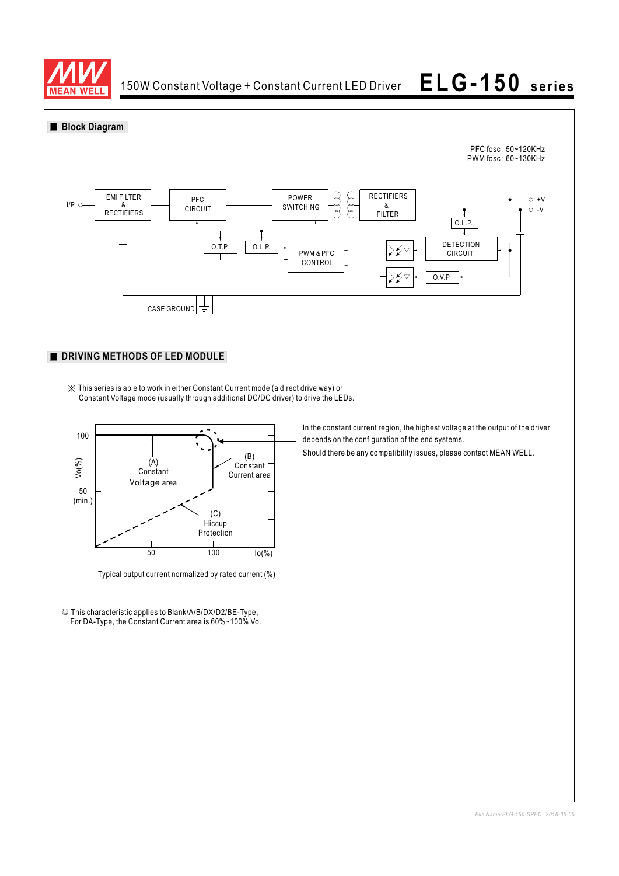

150W Constant Voltage + Constant Current LED Driver

# **ELG-150 series**



Typical output current normalized by rated current (%)

50 100 Io(%)

Protection

◎ This characteristic applies to Blank/A/B/DX/D2/BE-Type, For DA-Type, the Constant Current area is 60%~100% Vo.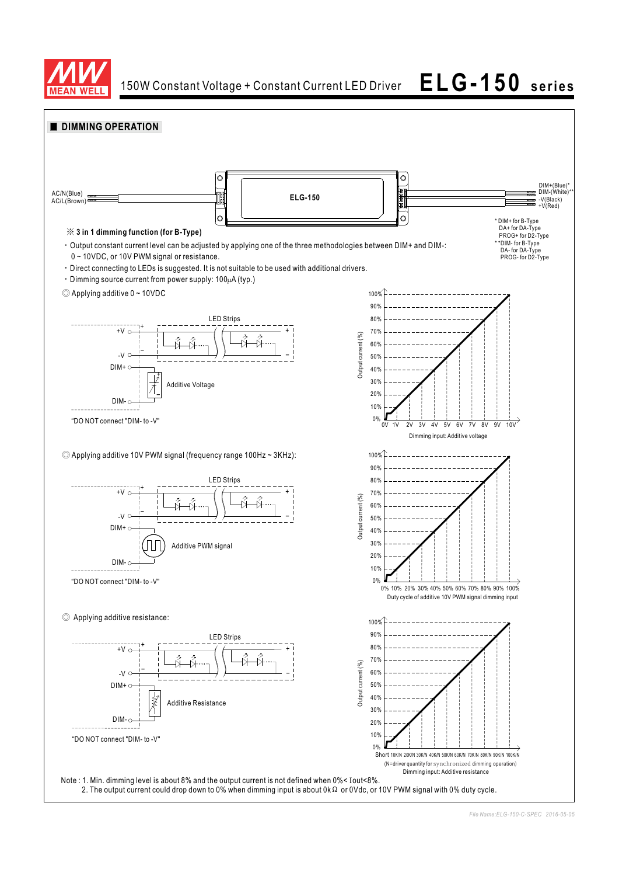

150W Constant Voltage + Constant Current LED Driver **ELG-150 series**

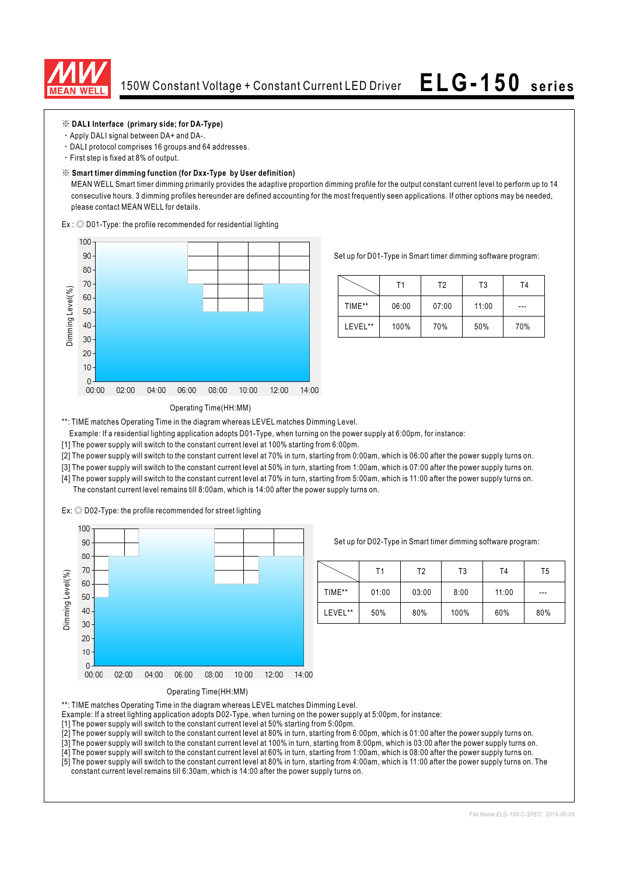

### ※ **DAL Interface (primary side; for DA-Type) I**

- Apply DALI signal between DA+ and DA-.
- · DALI protocol comprises 16 groups and 64 addresses.
- First step is fixed at 8% of output.

### ※ **Smart timer dimming function (for Dxx-Type by User definition)**

MEAN WELL Smart timer dimming primarily provides the adaptive proportion dimming profile for the output constant current level to perform up to 14 consecutive hours. 3 dimming profiles hereunder are defined accounting for the most frequently seen applications. If other options may be needed, please contact MEAN WELL for details.

 $Ex:$   $\odot$  D01-Type: the profile recommended for residential lighting



Set up for D01-Type in Smart timer dimming software program:

|         | Τ1    | T2    | T3    | T4  |
|---------|-------|-------|-------|-----|
| TIME**  | 06:00 | 07:00 | 11:00 | --- |
| LEVEL** | 100%  | 70%   | 50%   | 70% |

### Operating Time(HH:MM)

\*\*: TIME matches Operating Time in the diagram whereas LEVEL matches Dimming Level.

- Example: If a residential lighting application adopts D01-Type, when turning on the power supply at 6:00pm, for instance:
- [1] The power supply will switch to the constant current level at 100% starting from 6:00pm.
- [2] The power supply will switch to the constant current level at 70% in turn, starting from 0:00am, which is 06:00 after the power supply turns on.
- [3] The power supply will switch to the constant current level at 50% in turn, starting from 1:00am, which is 07:00 after the power supply turns on.
- [4] The power supply will switch to the constant current level at 70% in turn, starting from 5:00am, which is 11:00 after the power supply turns on. The constant current level remains till 8:00am, which is 14:00 after the power supply turns on.

 $Ex:$   $\odot$  D02-Type: the profile recommended for street lighting



Set up for D02-Type in Smart timer dimming software program:

|         | Τ1    | Т2    | T3   | T <sub>4</sub> | T5  |
|---------|-------|-------|------|----------------|-----|
| TIME**  | 01:00 | 03:00 | 8:00 | 11:00          | --- |
| LEVEL** | 50%   | 80%   | 100% | 60%            | 80% |



\*\*: TIME matches Operating Time in the diagram whereas LEVEL matches Dimming Level.

- Example: If a street lighting application adopts D02-Type, when turning on the power supply at 5:00pm, for instance:
- [1] The power supply will switch to the constant current level at 50% starting from 5:00pm.
- [2] The power supply will switch to the constant current level at 80% in turn, starting from 6:00pm, which is 01:00 after the power supply turns on.
- [3] The power supply will switch to the constant current level at 100% in turn, starting from 8:00pm, which is 03:00 after the power supply turns on.
- [4] The power supply will switch to the constant current level at 60% in turn, starting from 1:00am, which is 08:00 after the power supply turns on. [5] The power supply will switch to the constant current level at 80% in turn, starting from 4:00am, which is 11:00 after the power supply turns on. The constant current level remains till 6:30am, which is 14:00 after the power supply turns on.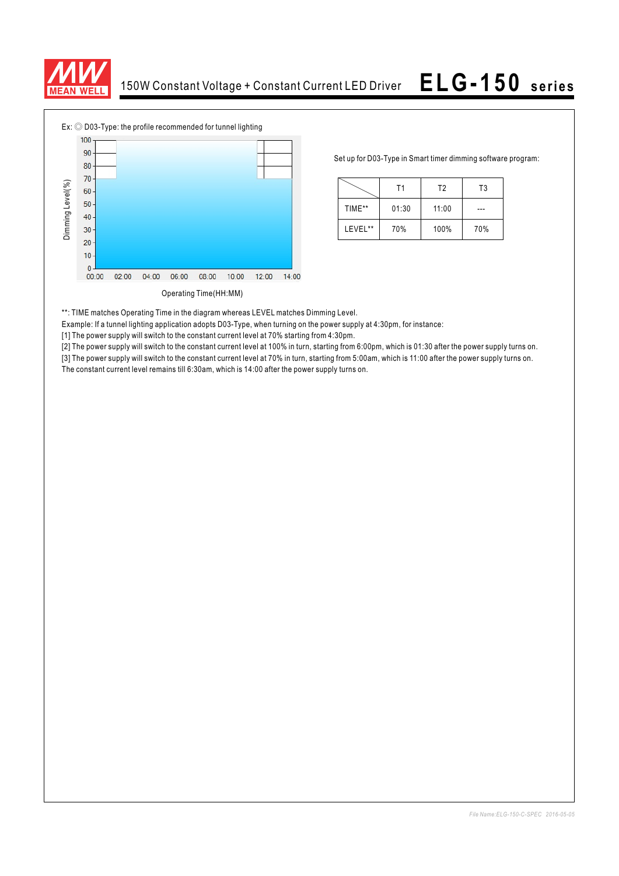



Set up for D03-Type in Smart timer dimming software program:

|         | Τ1    | T <sub>2</sub> | T3  |  |
|---------|-------|----------------|-----|--|
| TIME**  | 01:30 | 11:00          |     |  |
| LEVEL** | 70%   | 100%           | 70% |  |

\*\*: TIME matches Operating Time in the diagram whereas LEVEL matches Dimming Level.

Example: If a tunnel lighting application adopts D03-Type, when turning on the power supply at 4:30pm, for instance:

[1] The power supply will switch to the constant current level at 70% starting from 4:30pm.

[2] The power supply will switch to the constant current level at 100% in turn, starting from 6:00pm, which is 01:30 after the power supply turns on.

[3] The power supply will switch to the constant current level at 70% in turn, starting from 5:00am, which is 11:00 after the power supply turns on.<br>The constant current level remains till 6:30am, which is 14:00 after the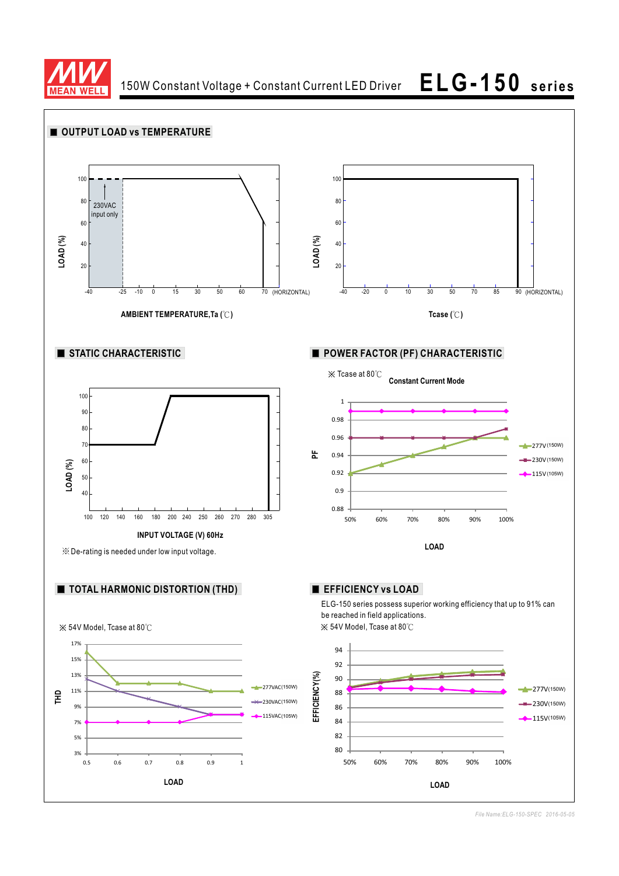

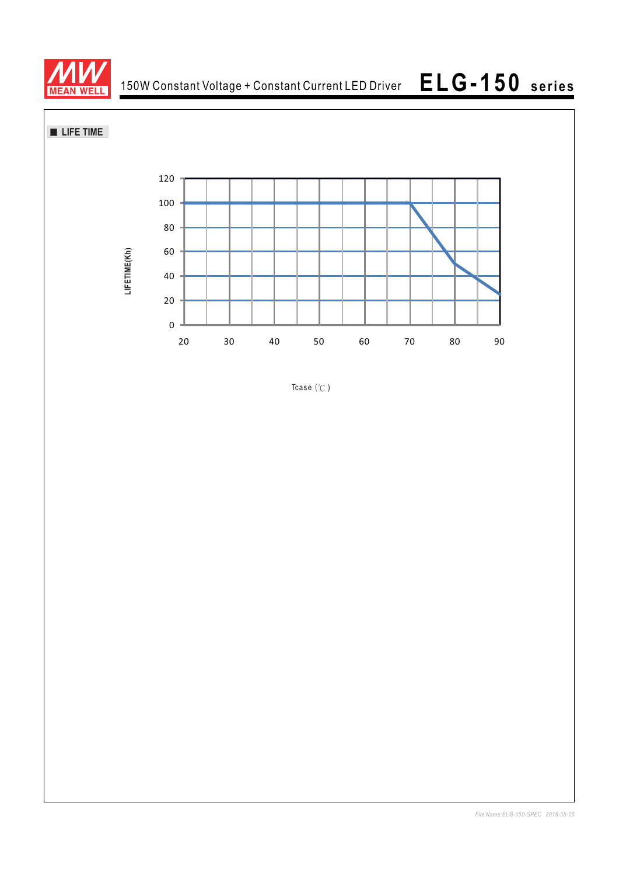

**LIFE TIME** 



Tcase  $(°C)$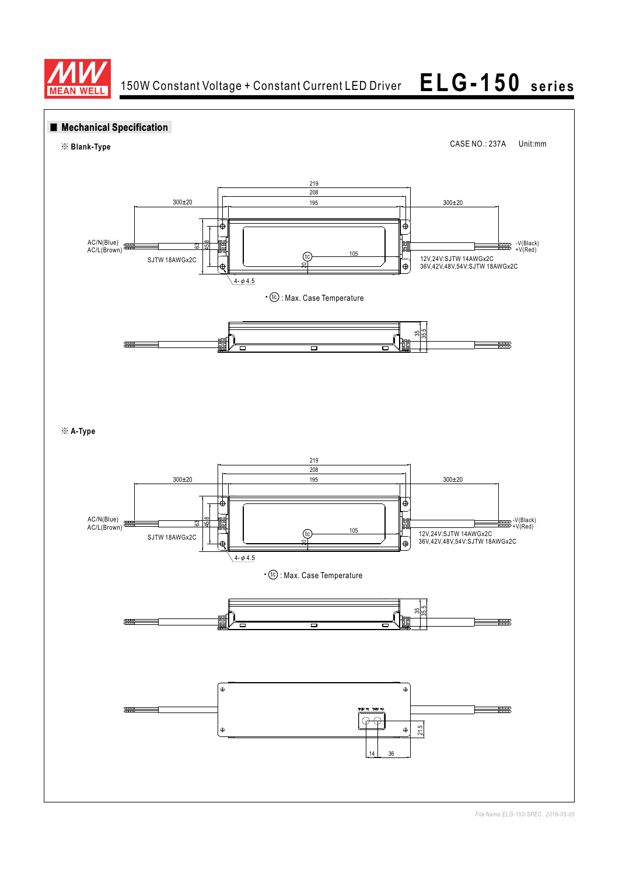